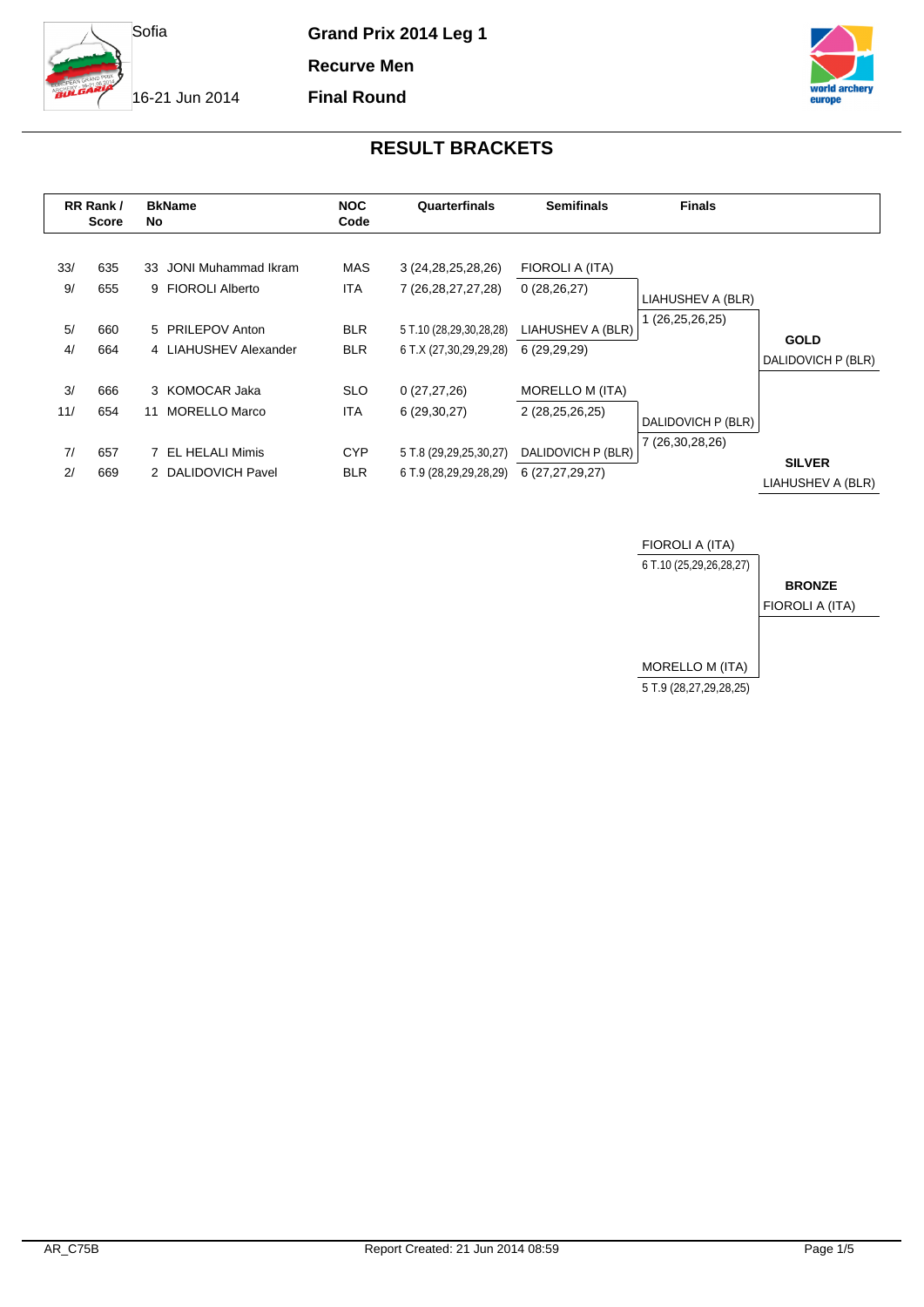

**Recurve Men**

**Final Round**

16-21 Jun 2014



| RR Rank /<br><b>Score</b> |            | <b>BkName</b><br>No.                        | <b>NOC</b><br>Quarterfinals<br>Code |                                                   | <b>Semifinals</b>                         | <b>Finals</b>      |                                    |
|---------------------------|------------|---------------------------------------------|-------------------------------------|---------------------------------------------------|-------------------------------------------|--------------------|------------------------------------|
| 33/<br>9/                 | 635<br>655 | 33 JONI Muhammad Ikram<br>9 FIOROLI Alberto | MAS<br>ITA                          | 3 (24, 28, 25, 28, 26)<br>7 (26, 28, 27, 27, 28)  | FIOROLI A (ITA)<br>0(28, 26, 27)          | LIAHUSHEV A (BLR)  |                                    |
| 5/<br>4/                  | 660<br>664 | 5 PRILEPOV Anton<br>4 LIAHUSHEV Alexander   | <b>BLR</b><br><b>BLR</b>            | 5 T.10 (28,29,30,28,28)<br>6 T.X (27,30,29,29,28) | LIAHUSHEV A (BLR)<br>6 (29,29,29)         | (26,25,26,25)      | <b>GOLD</b><br>DALIDOVICH P (BLR)  |
| 3/<br>11/                 | 666<br>654 | 3 KOMOCAR Jaka<br>MORELLO Marco<br>11       | <b>SLO</b><br><b>ITA</b>            | 0(27, 27, 26)<br>6(29,30,27)                      | <b>MORELLO M (ITA)</b><br>2 (28,25,26,25) | DALIDOVICH P (BLR) |                                    |
| 7/<br>2/                  | 657<br>669 | EL HELALI Mimis<br>2 DALIDOVICH Pavel       | <b>CYP</b><br><b>BLR</b>            | 5 T.8 (29,29,25,30,27)<br>6 T.9 (28,29,29,28,29)  | DALIDOVICH P (BLR)<br>6 (27,27,29,27)     | 7 (26,30,28,26)    | <b>SILVER</b><br>LIAHUSHEV A (BLR) |

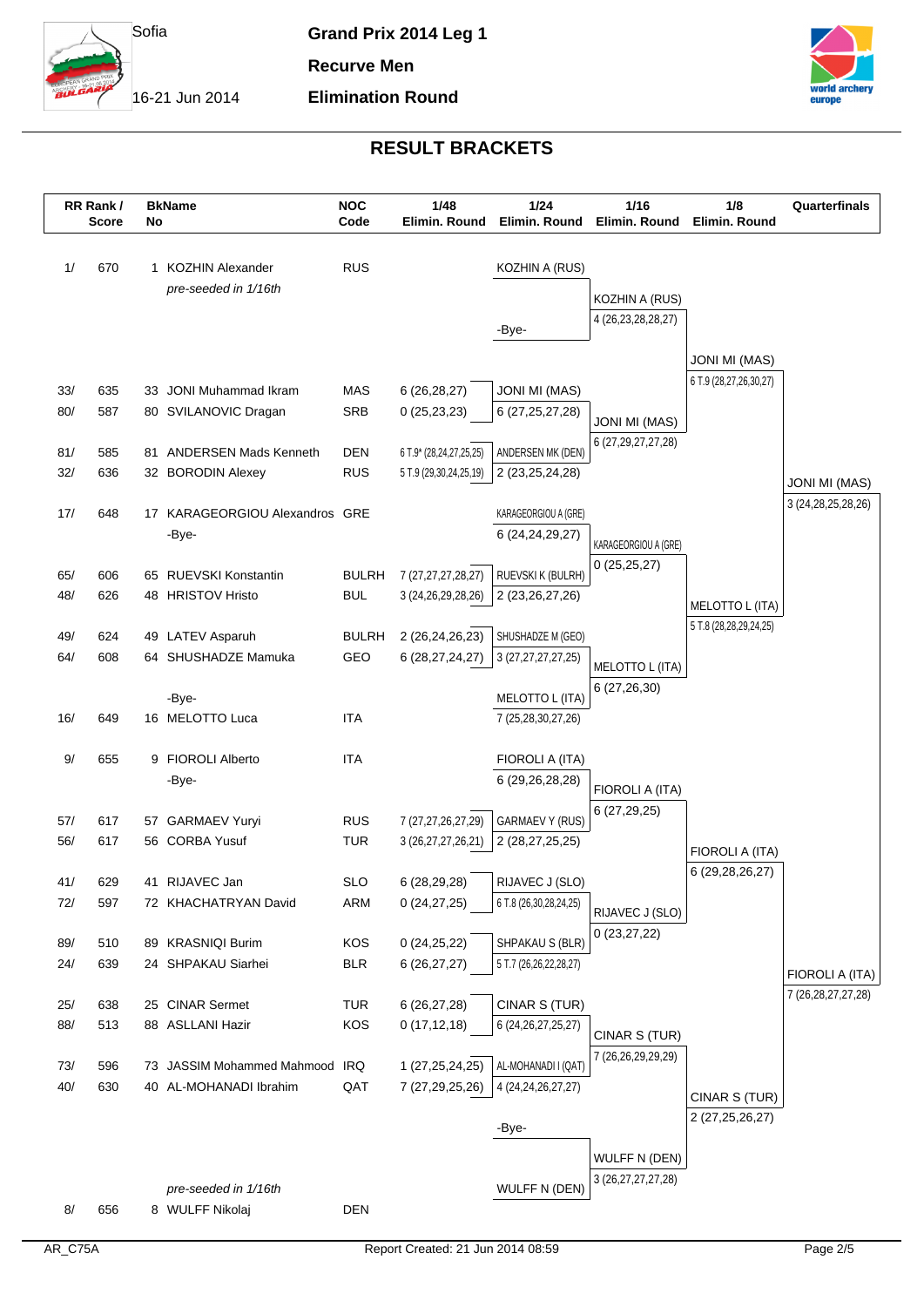

**Elimination Round**

**Recurve Men**

16-21 Jun 2014



|            | RR Rank /<br><b>Score</b> | No | <b>BkName</b>                                        | <b>NOC</b><br>Code       | 1/48<br>Elimin. Round                 | 1/24<br>Elimin. Round                         | 1/16<br>Elimin. Round                          | 1/8<br>Elimin. Round                          | Quarterfinals                             |
|------------|---------------------------|----|------------------------------------------------------|--------------------------|---------------------------------------|-----------------------------------------------|------------------------------------------------|-----------------------------------------------|-------------------------------------------|
|            |                           |    |                                                      |                          |                                       |                                               |                                                |                                               |                                           |
| 1/         | 670                       |    | 1 KOZHIN Alexander                                   | <b>RUS</b>               |                                       | KOZHIN A (RUS)                                |                                                |                                               |                                           |
|            |                           |    | pre-seeded in 1/16th                                 |                          |                                       |                                               | KOZHIN A (RUS)                                 |                                               |                                           |
|            |                           |    |                                                      |                          |                                       |                                               | 4 (26, 23, 28, 28, 27)                         |                                               |                                           |
|            |                           |    |                                                      |                          |                                       | -Bye-                                         |                                                |                                               |                                           |
|            |                           |    |                                                      |                          |                                       |                                               |                                                | <b>JONI MI (MAS)</b>                          |                                           |
| 33/        | 635                       |    | 33 JONI Muhammad Ikram                               | MAS                      | 6(26, 28, 27)                         | <b>JONI MI (MAS)</b>                          |                                                | 6 T.9 (28,27,26,30,27)                        |                                           |
| 80/        | 587                       |    | 80 SVILANOVIC Dragan                                 | <b>SRB</b>               | 0(25, 23, 23)                         | 6 (27, 25, 27, 28)                            |                                                |                                               |                                           |
|            |                           |    |                                                      |                          |                                       |                                               | <b>JONI MI (MAS)</b><br>6 (27, 29, 27, 27, 28) |                                               |                                           |
| 81/        | 585                       |    | 81 ANDERSEN Mads Kenneth                             | <b>DEN</b>               | 6 T.9* (28,24,27,25,25)               | ANDERSEN MK (DEN)                             |                                                |                                               |                                           |
| 32/        | 636                       |    | 32 BORODIN Alexey                                    | <b>RUS</b>               | 5 T.9 (29,30,24,25,19)                | 2 (23, 25, 24, 28)                            |                                                |                                               | <b>JONI MI (MAS)</b>                      |
|            |                           |    |                                                      |                          |                                       |                                               |                                                |                                               | 3 (24, 28, 25, 28, 26)                    |
| 17/        | 648                       |    | 17 KARAGEORGIOU Alexandros GRE<br>-Bye-              |                          |                                       | KARAGEORGIOU A (GRE)<br>6 (24,24,29,27)       |                                                |                                               |                                           |
|            |                           |    |                                                      |                          |                                       |                                               | KARAGEORGIOU A (GRE)                           |                                               |                                           |
| 65/        | 606                       |    | 65 RUEVSKI Konstantin                                | <b>BULRH</b>             | 7 (27, 27, 27, 28, 27)                | RUEVSKI K (BULRH)                             | 0(25,25,27)                                    |                                               |                                           |
| 48/        | 626                       |    | 48 HRISTOV Hristo                                    | <b>BUL</b>               | 3 (24, 26, 29, 28, 26)                | 2 (23, 26, 27, 26)                            |                                                |                                               |                                           |
|            |                           |    |                                                      |                          |                                       |                                               |                                                | MELOTTO L (ITA)<br>5 T.8 (28, 28, 29, 24, 25) |                                           |
| 49/        | 624                       |    | 49 LATEV Asparuh                                     | <b>BULRH</b>             | 2 (26,24,26,23)                       | SHUSHADZE M (GEO)                             |                                                |                                               |                                           |
| 64/        | 608                       |    | 64 SHUSHADZE Mamuka                                  | GEO                      | 6 (28,27,24,27)                       | 3 (27,27,27,27,25)                            | MELOTTO L (ITA)                                |                                               |                                           |
|            |                           |    |                                                      |                          |                                       |                                               | 6(27, 26, 30)                                  |                                               |                                           |
| 16/        | 649                       |    | -Bye-<br>16 MELOTTO Luca                             | <b>ITA</b>               |                                       | MELOTTO L (ITA)<br>7 (25,28,30,27,26)         |                                                |                                               |                                           |
|            |                           |    |                                                      |                          |                                       |                                               |                                                |                                               |                                           |
| 9/         | 655                       |    | 9 FIOROLI Alberto                                    | <b>ITA</b>               |                                       | FIOROLI A (ITA)                               |                                                |                                               |                                           |
|            |                           |    | -Bye-                                                |                          |                                       | 6 (29,26,28,28)                               | FIOROLI A (ITA)                                |                                               |                                           |
|            |                           |    |                                                      |                          |                                       |                                               | 6(27, 29, 25)                                  |                                               |                                           |
| 57/        | 617                       |    | 57 GARMAEV Yuryi                                     | <b>RUS</b>               | 7 (27,27,26,27,29)                    | <b>GARMAEV Y (RUS)</b>                        |                                                |                                               |                                           |
| 56/        | 617                       |    | 56 CORBA Yusuf                                       | <b>TUR</b>               | 3 (26,27,27,26,21)                    | 2 (28,27,25,25)                               |                                                | FIOROLI A (ITA)                               |                                           |
|            |                           |    |                                                      |                          |                                       |                                               |                                                | 6 (29, 28, 26, 27)                            |                                           |
| 41/<br>72/ | 629<br>597                |    | 41 RIJAVEC Jan<br>72 KHACHATRYAN David               | <b>SLO</b><br><b>ARM</b> | 6 (28,29,28)<br>0(24, 27, 25)         | RIJAVEC J (SLO)<br>6 T.8 (26,30,28,24,25)     |                                                |                                               |                                           |
|            |                           |    |                                                      |                          |                                       |                                               | RIJAVEC J (SLO)                                |                                               |                                           |
| 89/        | 510                       |    | 89 KRASNIQI Burim                                    | KOS                      | 0(24,25,22)                           | SHPAKAU S (BLR)                               | 0(23, 27, 22)                                  |                                               |                                           |
| 24/        | 639                       |    | 24 SHPAKAU Siarhei                                   | <b>BLR</b>               | 6(26, 27, 27)                         | 5 T.7 (26,26,22,28,27)                        |                                                |                                               |                                           |
|            |                           |    |                                                      |                          |                                       |                                               |                                                |                                               | FIOROLI A (ITA)<br>7 (26, 28, 27, 27, 28) |
| 25/        | 638                       |    | 25 CINAR Sermet                                      | <b>TUR</b>               | 6 (26,27,28)                          | CINAR S (TUR)                                 |                                                |                                               |                                           |
| 88/        | 513                       |    | 88 ASLLANI Hazir                                     | KOS                      | 0(17, 12, 18)                         | 6 (24, 26, 27, 25, 27)                        | CINAR S (TUR)                                  |                                               |                                           |
|            |                           |    |                                                      |                          |                                       |                                               | 7 (26,26,29,29,29)                             |                                               |                                           |
| 73/<br>40/ | 596<br>630                |    | 73 JASSIM Mohammed Mahmood<br>40 AL-MOHANADI Ibrahim | IRQ<br>QAT               | 1 (27, 25, 24, 25)<br>7 (27,29,25,26) | AL-MOHANADI I (QAT)<br>4 (24, 24, 26, 27, 27) |                                                |                                               |                                           |
|            |                           |    |                                                      |                          |                                       |                                               |                                                | CINAR S (TUR)                                 |                                           |
|            |                           |    |                                                      |                          |                                       | -Bye-                                         |                                                | 2 (27,25,26,27)                               |                                           |
|            |                           |    |                                                      |                          |                                       |                                               |                                                |                                               |                                           |
|            |                           |    |                                                      |                          |                                       |                                               | <b>WULFF N (DEN)</b><br>3 (26, 27, 27, 27, 28) |                                               |                                           |
|            |                           |    | pre-seeded in 1/16th                                 |                          |                                       | WULFF N (DEN)                                 |                                                |                                               |                                           |
| 8/         | 656                       |    | 8 WULFF Nikolaj                                      | <b>DEN</b>               |                                       |                                               |                                                |                                               |                                           |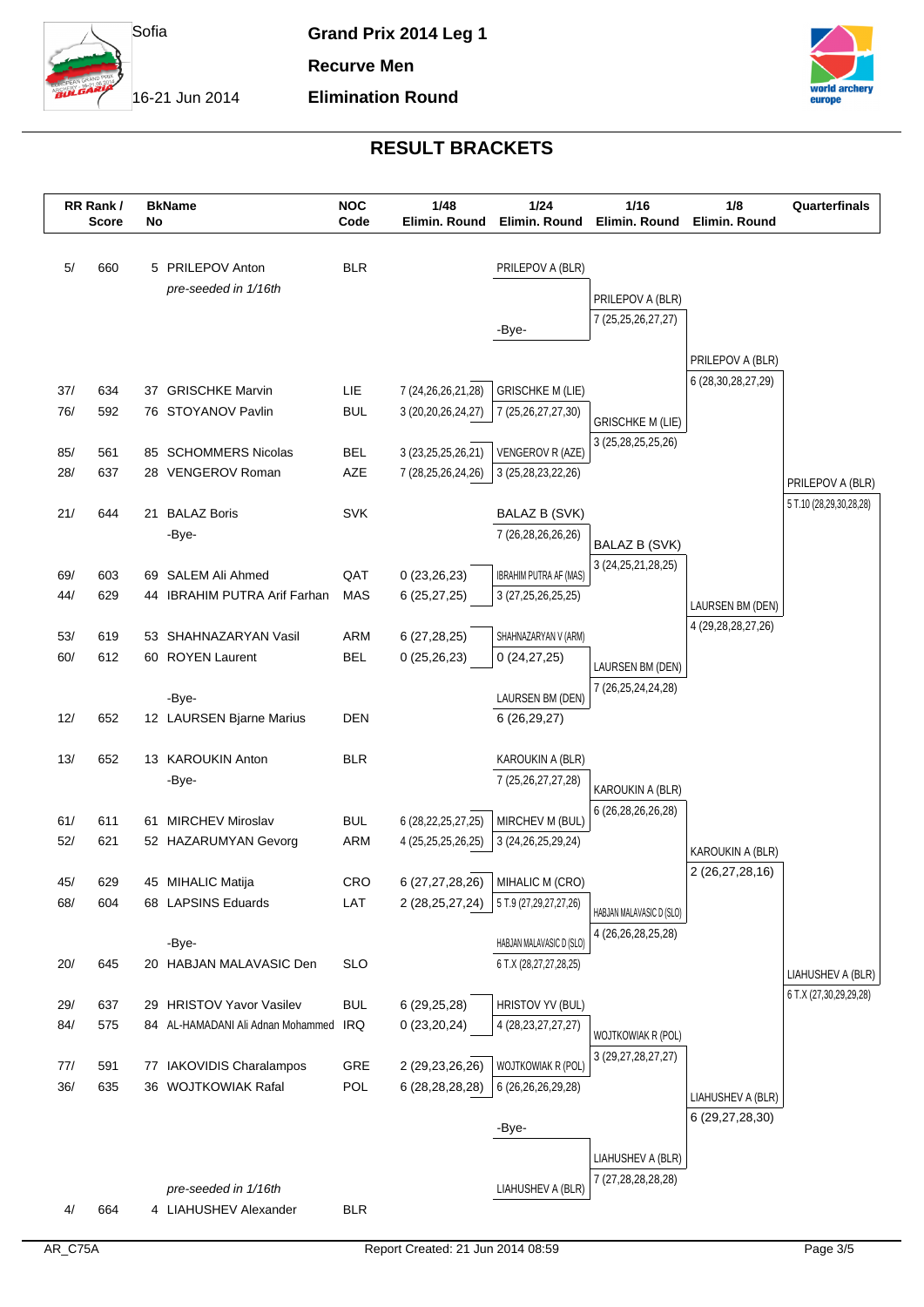

**Elimination Round**

**Recurve Men**

16-21 Jun 2014



|     | RR Rank/<br><b>Score</b> | No | <b>BkName</b>                     | <b>NOC</b><br>Code | 1/48<br>Elimin. Round  | 1/24<br>Elimin. Round         | 1/16<br>Elimin. Round    | 1/8<br>Elimin. Round                 | Quarterfinals                               |
|-----|--------------------------|----|-----------------------------------|--------------------|------------------------|-------------------------------|--------------------------|--------------------------------------|---------------------------------------------|
|     |                          |    |                                   |                    |                        |                               |                          |                                      |                                             |
| 5/  | 660                      |    | 5 PRILEPOV Anton                  | <b>BLR</b>         |                        | PRILEPOV A (BLR)              |                          |                                      |                                             |
|     |                          |    | pre-seeded in 1/16th              |                    |                        |                               | PRILEPOV A (BLR)         |                                      |                                             |
|     |                          |    |                                   |                    |                        | -Bye-                         | 7 (25, 25, 26, 27, 27)   |                                      |                                             |
|     |                          |    |                                   |                    |                        |                               |                          |                                      |                                             |
|     |                          |    |                                   |                    |                        |                               |                          | PRILEPOV A (BLR)                     |                                             |
| 37/ | 634                      |    | 37 GRISCHKE Marvin                | LIE                | 7 (24, 26, 26, 21, 28) | <b>GRISCHKE M (LIE)</b>       |                          | 6 (28, 30, 28, 27, 29)               |                                             |
| 76/ | 592                      |    | 76 STOYANOV Pavlin                | <b>BUL</b>         | 3 (20, 20, 26, 24, 27) | 7 (25,26,27,27,30)            | <b>GRISCHKE M (LIE)</b>  |                                      |                                             |
| 85/ | 561                      |    | 85 SCHOMMERS Nicolas              | <b>BEL</b>         | 3 (23, 25, 25, 26, 21) | VENGEROV R (AZE)              | 3 (25, 28, 25, 25, 26)   |                                      |                                             |
| 28/ | 637                      |    | 28 VENGEROV Roman                 | AZE                | 7 (28,25,26,24,26)     | 3 (25, 28, 23, 22, 26)        |                          |                                      |                                             |
|     |                          |    |                                   |                    |                        |                               |                          |                                      | PRILEPOV A (BLR)                            |
| 21/ | 644                      | 21 | <b>BALAZ Boris</b>                | <b>SVK</b>         |                        | <b>BALAZ B (SVK)</b>          |                          |                                      | 5 T.10 (28,29,30,28,28)                     |
|     |                          |    | -Bye-                             |                    |                        | 7 (26,28,26,26,26)            | BALAZ B (SVK)            |                                      |                                             |
| 69/ | 603                      |    | 69 SALEM Ali Ahmed                | QAT                | 0(23,26,23)            | <b>IBRAHIM PUTRA AF (MAS)</b> | 3 (24, 25, 21, 28, 25)   |                                      |                                             |
| 44/ | 629                      |    | 44 IBRAHIM PUTRA Arif Farhan      | <b>MAS</b>         | 6(25, 27, 25)          | 3 (27, 25, 26, 25, 25)        |                          |                                      |                                             |
|     |                          |    |                                   |                    |                        |                               |                          | LAURSEN BM (DEN)                     |                                             |
| 53/ | 619                      | 53 | SHAHNAZARYAN Vasil                | <b>ARM</b>         | 6(27, 28, 25)          | SHAHNAZARYAN V (ARM)          |                          | 4 (29, 28, 28, 27, 26)               |                                             |
| 60/ | 612                      |    | 60 ROYEN Laurent                  | <b>BEL</b>         | 0(25,26,23)            | 0(24, 27, 25)                 | LAURSEN BM (DEN)         |                                      |                                             |
|     |                          |    | -Bye-                             |                    |                        | LAURSEN BM (DEN)              | 7 (26,25,24,24,28)       |                                      |                                             |
| 12/ | 652                      |    | 12 LAURSEN Bjarne Marius          | <b>DEN</b>         |                        | 6(26, 29, 27)                 |                          |                                      |                                             |
|     |                          |    |                                   |                    |                        |                               |                          |                                      |                                             |
| 13/ | 652                      |    | 13 KAROUKIN Anton                 | <b>BLR</b>         |                        | KAROUKIN A (BLR)              |                          |                                      |                                             |
|     |                          |    | -Bye-                             |                    |                        | 7 (25, 26, 27, 27, 28)        | KAROUKIN A (BLR)         |                                      |                                             |
| 61/ | 611                      | 61 | <b>MIRCHEV Miroslav</b>           | <b>BUL</b>         | 6 (28, 22, 25, 27, 25) | MIRCHEV M (BUL)               | 6 (26,28,26,26,28)       |                                      |                                             |
| 52/ | 621                      |    | 52 HAZARUMYAN Gevorg              | ARM                | 4 (25,25,25,26,25)     | 3 (24, 26, 25, 29, 24)        |                          |                                      |                                             |
|     |                          |    |                                   |                    |                        |                               |                          | KAROUKIN A (BLR)<br>2 (26,27,28,16)  |                                             |
| 45/ | 629                      |    | 45 MIHALIC Matija                 | <b>CRO</b>         | 6 (27,27,28,26)        | MIHALIC M (CRO)               |                          |                                      |                                             |
| 68/ | 604                      |    | 68 LAPSINS Eduards                | LAT                | 2 (28,25,27,24)        | 5 T.9 (27,29,27,27,26)        | HABJAN MALAVASIC D (SLO) |                                      |                                             |
|     |                          |    | -Bye-                             |                    |                        | HABJAN MALAVASIC D (SLO)      | 4 (26, 26, 28, 25, 28)   |                                      |                                             |
| 20/ | 645                      |    | 20 HABJAN MALAVASIC Den           | <b>SLO</b>         |                        | 6 T.X (28,27,27,28,25)        |                          |                                      |                                             |
|     |                          |    |                                   |                    |                        |                               |                          |                                      | LIAHUSHEV A (BLR)<br>6 T.X (27,30,29,29,28) |
| 29/ | 637                      |    | 29 HRISTOV Yavor Vasilev          | <b>BUL</b>         | 6 (29,25,28)           | HRISTOV YV (BUL)              |                          |                                      |                                             |
| 84/ | 575                      |    | 84 AL-HAMADANI Ali Adnan Mohammed | IRQ                | 0(23,20,24)            | 4 (28, 23, 27, 27, 27)        | WOJTKOWIAK R (POL)       |                                      |                                             |
| 77/ | 591                      | 77 | <b>IAKOVIDIS Charalampos</b>      | GRE                | 2 (29,23,26,26)        | WOJTKOWIAK R (POL)            | 3 (29, 27, 28, 27, 27)   |                                      |                                             |
| 36/ | 635                      |    | 36 WOJTKOWIAK Rafal               | <b>POL</b>         | 6 (28, 28, 28, 28)     | 6 (26,26,26,29,28)            |                          |                                      |                                             |
|     |                          |    |                                   |                    |                        |                               |                          | LIAHUSHEV A (BLR)<br>6 (29,27,28,30) |                                             |
|     |                          |    |                                   |                    |                        | -Bye-                         |                          |                                      |                                             |
|     |                          |    |                                   |                    |                        |                               | LIAHUSHEV A (BLR)        |                                      |                                             |
|     |                          |    | pre-seeded in 1/16th              |                    |                        | LIAHUSHEV A (BLR)             | 7 (27,28,28,28,28)       |                                      |                                             |
| 4/  | 664                      |    | 4 LIAHUSHEV Alexander             | <b>BLR</b>         |                        |                               |                          |                                      |                                             |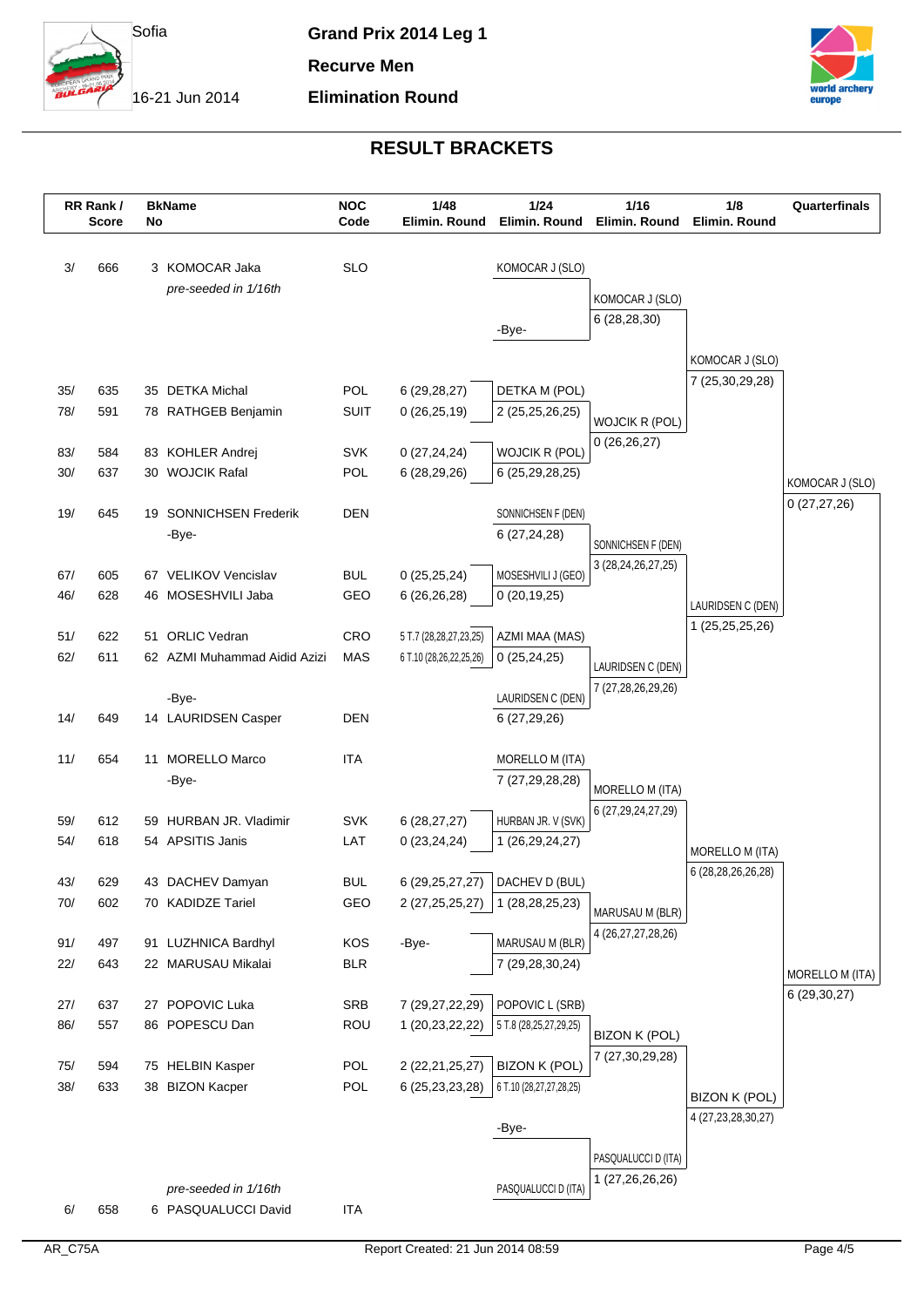

**Elimination Round**

**Recurve Men**

16-21 Jun 2014



|     | RR Rank/<br><b>Score</b> | <b>BkName</b><br>No                         | <b>NOC</b><br>Code | 1/48<br>Elimin. Round   | $1/24$<br>Elimin. Round | 1/16<br>Elimin. Round                   | 1/8<br>Elimin. Round               | Quarterfinals                   |
|-----|--------------------------|---------------------------------------------|--------------------|-------------------------|-------------------------|-----------------------------------------|------------------------------------|---------------------------------|
|     |                          |                                             |                    |                         |                         |                                         |                                    |                                 |
| 3/  | 666                      | 3 KOMOCAR Jaka                              | <b>SLO</b>         |                         | KOMOCAR J (SLO)         |                                         |                                    |                                 |
|     |                          | pre-seeded in 1/16th                        |                    |                         |                         | KOMOCAR J (SLO)                         |                                    |                                 |
|     |                          |                                             |                    |                         | -Bye-                   | 6 (28,28,30)                            |                                    |                                 |
|     |                          |                                             |                    |                         |                         |                                         |                                    |                                 |
|     |                          |                                             |                    |                         |                         |                                         | KOMOCAR J (SLO)<br>7 (25,30,29,28) |                                 |
| 35/ | 635                      | 35 DETKA Michal                             | <b>POL</b>         | 6 (29,28,27)            | DETKA M (POL)           |                                         |                                    |                                 |
| 78/ | 591                      | 78 RATHGEB Benjamin                         | <b>SUIT</b>        | 0(26, 25, 19)           | 2 (25,25,26,25)         | <b>WOJCIK R (POL)</b>                   |                                    |                                 |
| 83/ | 584                      | 83 KOHLER Andrej                            | <b>SVK</b>         | 0(27, 24, 24)           | WOJCIK R (POL)          | 0(26, 26, 27)                           |                                    |                                 |
| 30/ | 637                      | 30 WOJCIK Rafal                             | POL                | 6 (28,29,26)            | 6 (25,29,28,25)         |                                         |                                    |                                 |
|     |                          |                                             |                    |                         |                         |                                         |                                    | KOMOCAR J (SLO)                 |
| 19/ | 645                      | 19 SONNICHSEN Frederik                      | <b>DEN</b>         |                         | SONNICHSEN F (DEN)      |                                         |                                    | 0(27, 27, 26)                   |
|     |                          | -Bye-                                       |                    |                         | 6(27, 24, 28)           | SONNICHSEN F (DEN)                      |                                    |                                 |
|     |                          |                                             |                    |                         |                         | 3 (28, 24, 26, 27, 25)                  |                                    |                                 |
| 67/ | 605                      | 67 VELIKOV Vencislav                        | <b>BUL</b>         | 0(25, 25, 24)           | MOSESHVILI J (GEO)      |                                         |                                    |                                 |
| 46/ | 628                      | 46 MOSESHVILI Jaba                          | GEO                | 6(26,26,28)             | 0(20, 19, 25)           |                                         | LAURIDSEN C (DEN)                  |                                 |
| 51/ | 622                      | 51 ORLIC Vedran                             | CRO                | 5 T.7 (28,28,27,23,25)  | AZMI MAA (MAS)          |                                         | 1 (25,25,25,26)                    |                                 |
| 62/ | 611                      | 62 AZMI Muhammad Aidid Azizi                | <b>MAS</b>         | 6 T.10 (28,26,22,25,26) | 0(25, 24, 25)           |                                         |                                    |                                 |
|     |                          |                                             |                    |                         |                         | LAURIDSEN C (DEN)<br>7 (27,28,26,29,26) |                                    |                                 |
|     |                          | -Bye-                                       |                    |                         | LAURIDSEN C (DEN)       |                                         |                                    |                                 |
| 14/ | 649                      | 14 LAURIDSEN Casper                         | <b>DEN</b>         |                         | 6 (27,29,26)            |                                         |                                    |                                 |
| 11/ | 654                      | 11 MORELLO Marco                            | <b>ITA</b>         |                         | MORELLO M (ITA)         |                                         |                                    |                                 |
|     |                          | -Bye-                                       |                    |                         | 7 (27,29,28,28)         |                                         |                                    |                                 |
|     |                          |                                             |                    |                         |                         | MORELLO M (ITA)                         |                                    |                                 |
| 59/ | 612                      | 59 HURBAN JR. Vladimir                      | <b>SVK</b>         | 6(28, 27, 27)           | HURBAN JR. V (SVK)      | 6 (27,29,24,27,29)                      |                                    |                                 |
| 54/ | 618                      | 54 APSITIS Janis                            | LAT                | 0(23, 24, 24)           | 1 (26,29,24,27)         |                                         | MORELLO M (ITA)                    |                                 |
|     |                          |                                             |                    |                         |                         |                                         | 6 (28,28,26,26,28)                 |                                 |
| 43/ | 629                      | 43 DACHEV Damyan                            | <b>BUL</b>         | 6 (29, 25, 27, 27)      | DACHEV D (BUL)          |                                         |                                    |                                 |
| 70/ | 602                      | 70 KADIDZE Tariel                           | GEO                | 2 (27, 25, 25, 27)      | 1 (28, 28, 25, 23)      | MARUSAU M (BLR)                         |                                    |                                 |
| 91/ | 497                      | 91 LUZHNICA Bardhyl                         | KOS                | -Bye-                   | MARUSAU M (BLR)         | 4 (26, 27, 27, 28, 26)                  |                                    |                                 |
| 22/ | 643                      | 22 MARUSAU Mikalai                          | <b>BLR</b>         |                         | 7 (29,28,30,24)         |                                         |                                    |                                 |
|     |                          |                                             |                    |                         |                         |                                         |                                    | MORELLO M (ITA)<br>6 (29,30,27) |
| 27/ | 637                      | 27 POPOVIC Luka                             | <b>SRB</b>         | 7 (29,27,22,29)         | POPOVIC L (SRB)         |                                         |                                    |                                 |
| 86/ | 557                      | 86 POPESCU Dan                              | <b>ROU</b>         | 1 (20,23,22,22)         | 5 T.8 (28,25,27,29,25)  | <b>BIZON K (POL)</b>                    |                                    |                                 |
| 75/ | 594                      | 75 HELBIN Kasper                            | <b>POL</b>         | 2 (22, 21, 25, 27)      | <b>BIZON K (POL)</b>    | 7 (27,30,29,28)                         |                                    |                                 |
| 38/ | 633                      | 38 BIZON Kacper                             | POL                | 6 (25, 23, 23, 28)      | 6 T.10 (28,27,27,28,25) |                                         |                                    |                                 |
|     |                          |                                             |                    |                         |                         |                                         | BIZON K (POL)                      |                                 |
|     |                          |                                             |                    |                         | -Bye-                   |                                         | 4 (27, 23, 28, 30, 27)             |                                 |
|     |                          |                                             |                    |                         |                         | PASQUALUCCI D (ITA)                     |                                    |                                 |
|     |                          |                                             |                    |                         |                         | 1 (27,26,26,26)                         |                                    |                                 |
| 6/  | 658                      | pre-seeded in 1/16th<br>6 PASQUALUCCI David | <b>ITA</b>         |                         | PASQUALUCCI D (ITA)     |                                         |                                    |                                 |